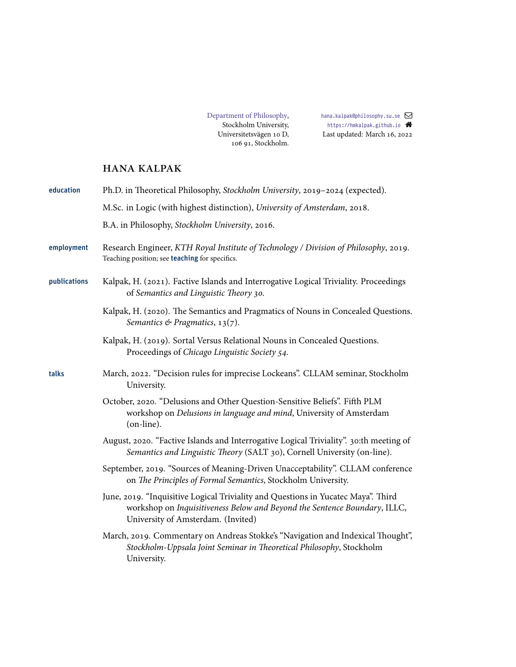[hana.kalpak@philosophy.su.se](mailto:hana.kalpak@philosophy.su.se) <https://hmkalpak.github.io> Last updated: March 16, 2022

# hana kalpak

| education    | Ph.D. in Theoretical Philosophy, Stockholm University, 2019-2024 (expected).                                                                                                                         |
|--------------|------------------------------------------------------------------------------------------------------------------------------------------------------------------------------------------------------|
|              | M.Sc. in Logic (with highest distinction), University of Amsterdam, 2018.                                                                                                                            |
|              | B.A. in Philosophy, Stockholm University, 2016.                                                                                                                                                      |
| employment   | Research Engineer, KTH Royal Institute of Technology / Division of Philosophy, 2019.<br>Teaching position; see teaching for specifics.                                                               |
| publications | Kalpak, H. (2021). Factive Islands and Interrogative Logical Triviality. Proceedings<br>of Semantics and Linguistic Theory 30.                                                                       |
|              | Kalpak, H. (2020). The Semantics and Pragmatics of Nouns in Concealed Questions.<br>Semantics & Pragmatics, $13(7)$ .                                                                                |
|              | Kalpak, H. (2019). Sortal Versus Relational Nouns in Concealed Questions.<br>Proceedings of Chicago Linguistic Society 54.                                                                           |
| talks        | March, 2022. "Decision rules for imprecise Lockeans". CLLAM seminar, Stockholm<br>University.                                                                                                        |
|              | October, 2020. "Delusions and Other Question-Sensitive Beliefs". Fifth PLM<br>workshop on Delusions in language and mind, University of Amsterdam<br>(on-line).                                      |
|              | August, 2020. "Factive Islands and Interrogative Logical Triviality". 30:th meeting of<br>Semantics and Linguistic Theory (SALT 30), Cornell University (on-line).                                   |
|              | September, 2019. "Sources of Meaning-Driven Unacceptability". CLLAM conference<br>on The Principles of Formal Semantics, Stockholm University.                                                       |
|              | June, 2019. "Inquisitive Logical Triviality and Questions in Yucatec Maya". Third<br>workshop on Inquisitiveness Below and Beyond the Sentence Boundary, ILLC,<br>University of Amsterdam. (Invited) |
|              | March, 2019. Commentary on Andreas Stokke's "Navigation and Indexical Thought",<br>Stockholm-Uppsala Joint Seminar in Theoretical Philosophy, Stockholm<br>University.                               |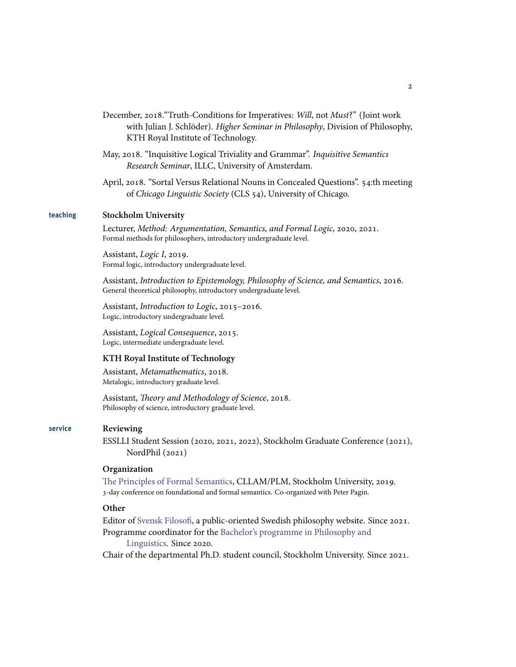- December, 2018. "Truth-Conditions for Imperatives: *Will*, not *Must?"* (Joint work with Julian J. Schlöder). *Higher Seminar in Philosophy*, Division of Philosophy, KTH Royal Institute of Technology.
- May, 2018. "Inquisitive Logical Triviality and Grammar". *Inquisitive Semantics Research Seminar*, ILLC, University of Amsterdam.
- April, 2018. "Sortal Versus Relational Nouns in Concealed Questions". 54:th meeting of *Chicago Linguistic Society* (CLS 54), University of Chicago.

#### teaching **Stockholm University**

Lecturer, *Method: Argumentation, Semantics, and Formal Logic*, 2020, 2021. Formal methods for philosophers, introductory undergraduate level.

Assistant, *Logic I*, 2019. Formal logic, introductory undergraduate level.

Assistant, *Introduction to Epistemology, Philosophy of Science, and Semantics*, 2016. General theoretical philosophy, introductory undergraduate level.

Assistant, *Introduction to Logic*, 2015-2016. Logic, introductory undergraduate level.

Assistant, *Logical Consequence*, 2015. Logic, intermediate undergraduate level.

## **KTH Royal Institute of Technology**

Assistant, *Metamathematics*, 2018. Metalogic, introductory graduate level.

Assistant, *Theory and Methodology of Science*, 2018. Philosophy of science, introductory graduate level.

## service **Reviewing**

ESSLLI Student Session (2020, 2021, 2022), Stockholm Graduate Conference (2021), NordPhil $(2021)$ 

## **Organization**

[The Principles of Formal Semantics,](https://www.philosophy.su.se/english/research/projects-and-centers/cllam/principles-of-formal-semantics-1.402697) CLLAM/PLM, Stockholm University, 2019. -day conference on foundational and formal semantics. Co-organized with Peter Pagin.

## **Other**

Editor of [Svensk Filosofi,](https://www.svenskfilosofi.se) a public-oriented Swedish philosophy website. Since 2021. Programme coordinator for the [Bachelor's programme in Philosophy and](https://www.su.se/sok-kurser-och-program/hfolk-1.412689?semester=HT20&eventcode=10737)

[Linguistics.](https://www.su.se/sok-kurser-och-program/hfolk-1.412689?semester=HT20&eventcode=10737) Since 2020.

Chair of the departmental Ph.D. student council, Stockholm University. Since 2021.